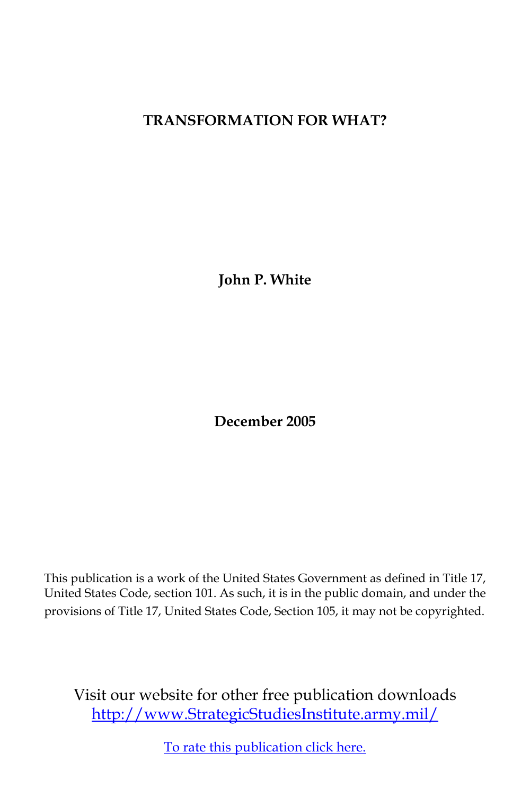## **TRANSFORMATION FOR WHAT?**

**John P. White**

**December 2005**

This publication is a work of the United States Government as defined in Title 17, United States Code, section 101. As such, it is in the public domain, and under the provisions of Title 17, United States Code, Section 105, it may not be copyrighted.

Visit our website for other free publication downloads [http://www.StrategicStudiesInstitute.army.mil/](http://www.StrategicStudiesInstitute.army.mil)

[To rate this publication click here.](http://www.strategicstudiesinstitute.army.mil/pubs/display.cfm?pubID=635)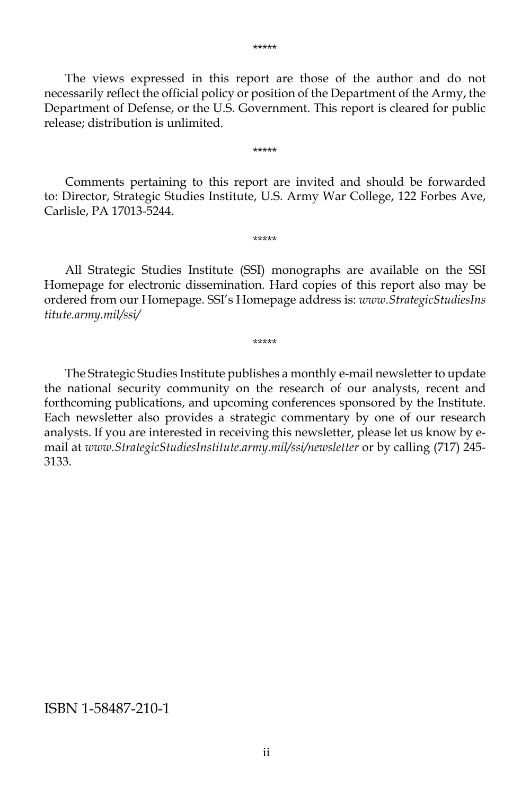The views expressed in this report are those of the author and do not necessarily reflect the official policy or position of the Department of the Army, the Department of Defense, or the U.S. Government. This report is cleared for public release; distribution is unlimited.

 Comments pertaining to this report are invited and should be forwarded to: Director, Strategic Studies Institute, U.S. Army War College, 122 Forbes Ave, Carlisle, PA 17013-5244.

\*\*\*\*\*

\*\*\*\*\*

 All Strategic Studies Institute (SSI) monographs are available on the SSI Homepage for electronic dissemination. Hard copies of this report also may be ordered from our Homepage. SSI's Homepage address is: *www.StrategicStudiesIns titute.army.mil/ssi/*

\*\*\*\*\*

 The Strategic Studies Institute publishes a monthly e-mail newsletter to update the national security community on the research of our analysts, recent and forthcoming publications, and upcoming conferences sponsored by the Institute. Each newsletter also provides a strategic commentary by one of our research analysts. If you are interested in receiving this newsletter, please let us know by email at *www.StrategicStudiesInstitute.army.mil/ssi/newsletter* or by calling (717) 245- 3133.

#### ISBN 1-58487-210-1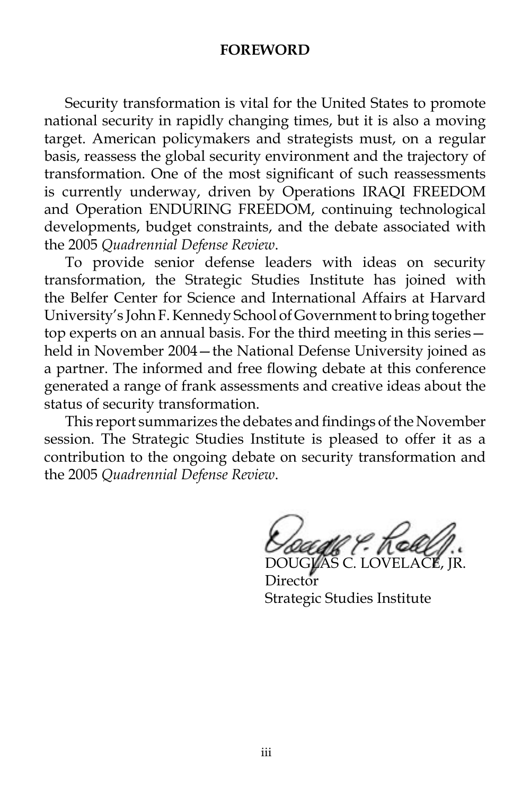#### **FOREWORD**

 Security transformation is vital for the United States to promote national security in rapidly changing times, but it is also a moving target. American policymakers and strategists must, on a regular basis, reassess the global security environment and the trajectory of transformation. One of the most significant of such reassessments is currently underway, driven by Operations IRAQI FREEDOM and Operation ENDURING FREEDOM, continuing technological developments, budget constraints, and the debate associated with the 2005 *Quadrennial Defense Review*.

 To provide senior defense leaders with ideas on security transformation, the Strategic Studies Institute has joined with the Belfer Center for Science and International Affairs at Harvard University's John F. Kennedy School of Government to bring together top experts on an annual basis. For the third meeting in this series held in November 2004—the National Defense University joined as a partner. The informed and free flowing debate at this conference generated a range of frank assessments and creative ideas about the status of security transformation.

 This report summarizes the debates and findings of the November session. The Strategic Studies Institute is pleased to offer it as a contribution to the ongoing debate on security transformation and the 2005 *Quadrennial Defense Review*.

DOUGLAS C. LOVELACE, JR.

**Director** Strategic Studies Institute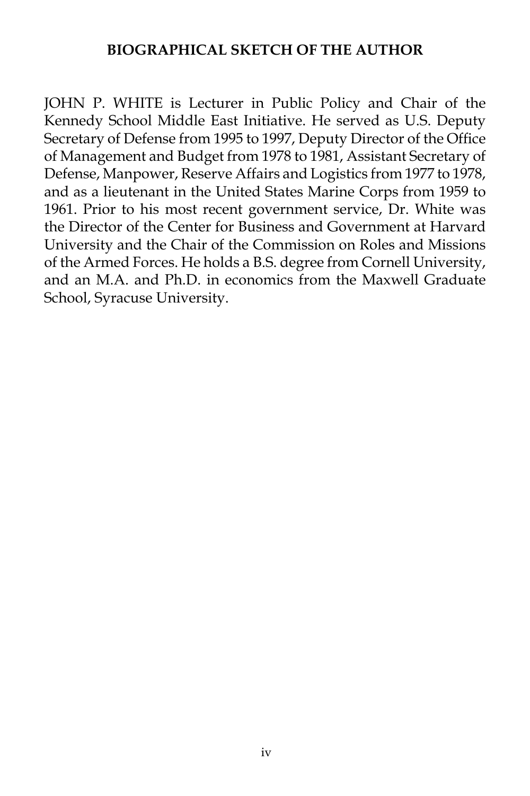#### **BIOGRAPHICAL SKETCH OF THE AUTHOR**

JOHN P. WHITE is Lecturer in Public Policy and Chair of the Kennedy School Middle East Initiative. He served as U.S. Deputy Secretary of Defense from 1995 to 1997, Deputy Director of the Office of Management and Budget from 1978 to 1981, Assistant Secretary of Defense, Manpower, Reserve Affairs and Logistics from 1977 to 1978, and as a lieutenant in the United States Marine Corps from 1959 to 1961. Prior to his most recent government service, Dr. White was the Director of the Center for Business and Government at Harvard University and the Chair of the Commission on Roles and Missions of the Armed Forces. He holds a B.S. degree from Cornell University, and an M.A. and Ph.D. in economics from the Maxwell Graduate School, Syracuse University.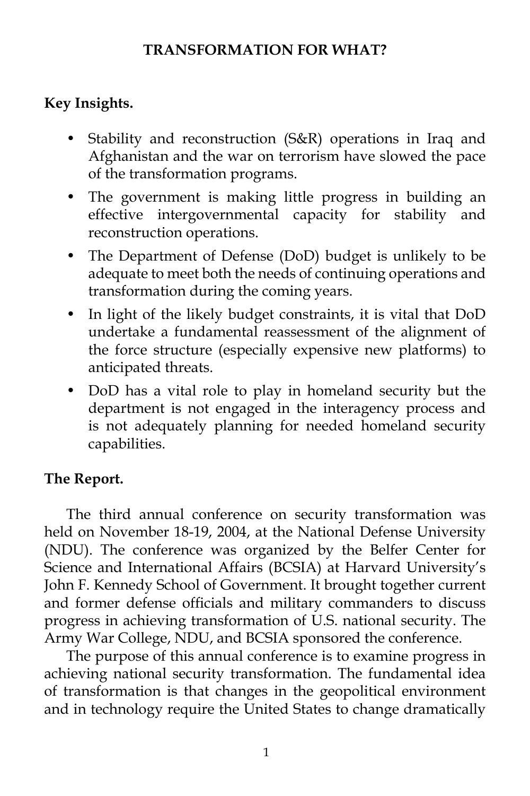## **TRANSFORMATION FOR WHAT?**

# **Key Insights.**

- Stability and reconstruction (S&R) operations in Iraq and Afghanistan and the war on terrorism have slowed the pace of the transformation programs.
- The government is making little progress in building an effective intergovernmental capacity for stability and reconstruction operations.
- The Department of Defense (DoD) budget is unlikely to be adequate to meet both the needs of continuing operations and transformation during the coming years.
- In light of the likely budget constraints, it is vital that DoD undertake a fundamental reassessment of the alignment of the force structure (especially expensive new platforms) to anticipated threats.
- DoD has a vital role to play in homeland security but the department is not engaged in the interagency process and is not adequately planning for needed homeland security capabilities.

# **The Report.**

 The third annual conference on security transformation was held on November 18-19, 2004, at the National Defense University (NDU). The conference was organized by the Belfer Center for Science and International Affairs (BCSIA) at Harvard University's John F. Kennedy School of Government. It brought together current and former defense officials and military commanders to discuss progress in achieving transformation of U.S. national security. The Army War College, NDU, and BCSIA sponsored the conference.

 The purpose of this annual conference is to examine progress in achieving national security transformation. The fundamental idea of transformation is that changes in the geopolitical environment and in technology require the United States to change dramatically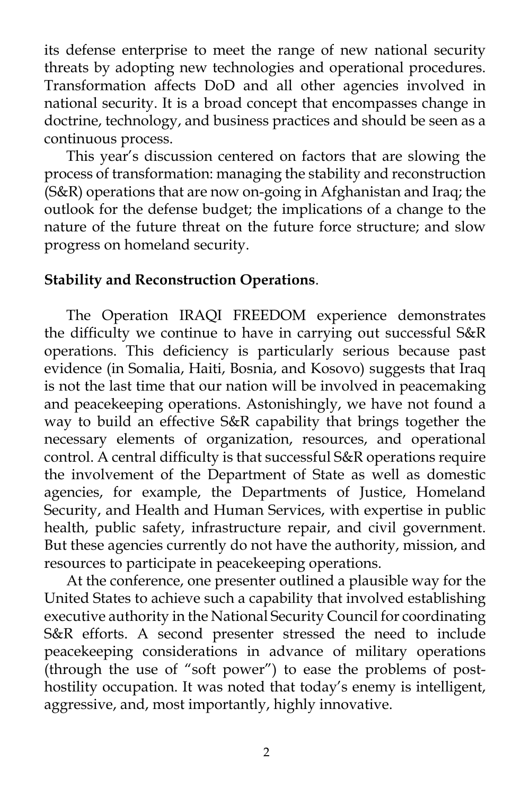its defense enterprise to meet the range of new national security threats by adopting new technologies and operational procedures. Transformation affects DoD and all other agencies involved in national security. It is a broad concept that encompasses change in doctrine, technology, and business practices and should be seen as a continuous process.

 This year's discussion centered on factors that are slowing the process of transformation: managing the stability and reconstruction (S&R) operations that are now on-going in Afghanistan and Iraq; the outlook for the defense budget; the implications of a change to the nature of the future threat on the future force structure; and slow progress on homeland security.

#### **Stability and Reconstruction Operations**.

 The Operation IRAQI FREEDOM experience demonstrates the difficulty we continue to have in carrying out successful S&R operations. This deficiency is particularly serious because past evidence (in Somalia, Haiti, Bosnia, and Kosovo) suggests that Iraq is not the last time that our nation will be involved in peacemaking and peacekeeping operations. Astonishingly, we have not found a way to build an effective S&R capability that brings together the necessary elements of organization, resources, and operational control. A central difficulty is that successful S&R operations require the involvement of the Department of State as well as domestic agencies, for example, the Departments of Justice, Homeland Security, and Health and Human Services, with expertise in public health, public safety, infrastructure repair, and civil government. But these agencies currently do not have the authority, mission, and resources to participate in peacekeeping operations.

 At the conference, one presenter outlined a plausible way for the United States to achieve such a capability that involved establishing executive authority in the National Security Council for coordinating S&R efforts. A second presenter stressed the need to include peacekeeping considerations in advance of military operations (through the use of "soft power") to ease the problems of posthostility occupation. It was noted that today's enemy is intelligent, aggressive, and, most importantly, highly innovative.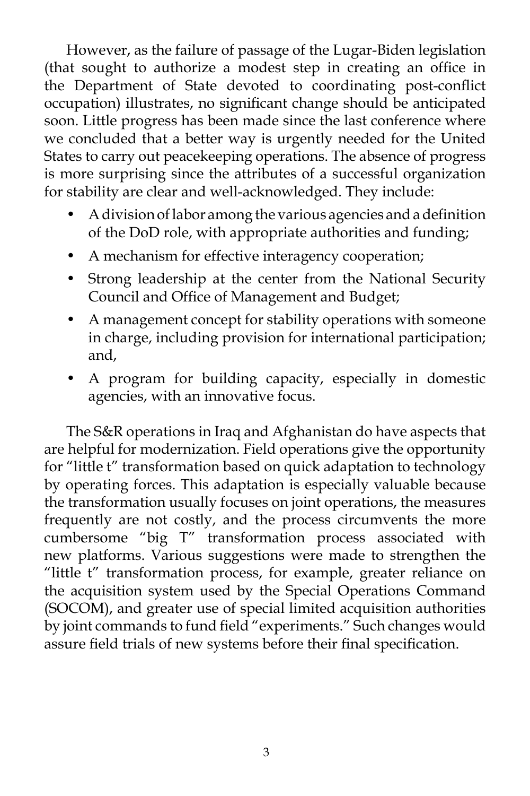However, as the failure of passage of the Lugar-Biden legislation (that sought to authorize a modest step in creating an office in the Department of State devoted to coordinating post-conflict occupation) illustrates, no significant change should be anticipated soon. Little progress has been made since the last conference where we concluded that a better way is urgently needed for the United States to carry out peacekeeping operations. The absence of progress is more surprising since the attributes of a successful organization for stability are clear and well-acknowledged. They include:

- A division of labor among the various agencies and a definition of the DoD role, with appropriate authorities and funding;
- A mechanism for effective interagency cooperation;
- Strong leadership at the center from the National Security Council and Office of Management and Budget;
- A management concept for stability operations with someone in charge, including provision for international participation; and,
- A program for building capacity, especially in domestic agencies, with an innovative focus.

 The S&R operations in Iraq and Afghanistan do have aspects that are helpful for modernization. Field operations give the opportunity for "little t" transformation based on quick adaptation to technology by operating forces. This adaptation is especially valuable because the transformation usually focuses on joint operations, the measures frequently are not costly, and the process circumvents the more cumbersome "big T" transformation process associated with new platforms. Various suggestions were made to strengthen the "little t" transformation process, for example, greater reliance on the acquisition system used by the Special Operations Command (SOCOM), and greater use of special limited acquisition authorities by joint commands to fund field "experiments." Such changes would assure field trials of new systems before their final specification.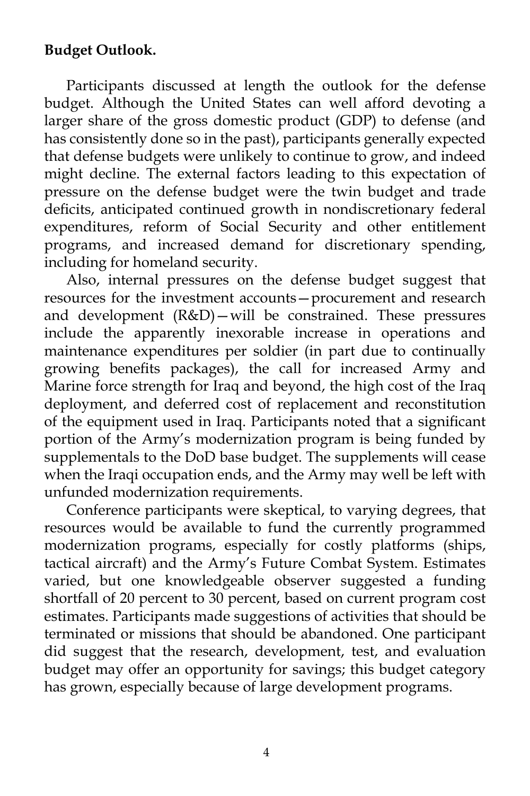## **Budget Outlook.**

 Participants discussed at length the outlook for the defense budget. Although the United States can well afford devoting a larger share of the gross domestic product (GDP) to defense (and has consistently done so in the past), participants generally expected that defense budgets were unlikely to continue to grow, and indeed might decline. The external factors leading to this expectation of pressure on the defense budget were the twin budget and trade deficits, anticipated continued growth in nondiscretionary federal expenditures, reform of Social Security and other entitlement programs, and increased demand for discretionary spending, including for homeland security.

 Also, internal pressures on the defense budget suggest that resources for the investment accounts—procurement and research and development (R&D)—will be constrained. These pressures include the apparently inexorable increase in operations and maintenance expenditures per soldier (in part due to continually growing benefits packages), the call for increased Army and Marine force strength for Iraq and beyond, the high cost of the Iraq deployment, and deferred cost of replacement and reconstitution of the equipment used in Iraq. Participants noted that a significant portion of the Army's modernization program is being funded by supplementals to the DoD base budget. The supplements will cease when the Iraqi occupation ends, and the Army may well be left with unfunded modernization requirements.

 Conference participants were skeptical, to varying degrees, that resources would be available to fund the currently programmed modernization programs, especially for costly platforms (ships, tactical aircraft) and the Army's Future Combat System. Estimates varied, but one knowledgeable observer suggested a funding shortfall of 20 percent to 30 percent, based on current program cost estimates. Participants made suggestions of activities that should be terminated or missions that should be abandoned. One participant did suggest that the research, development, test, and evaluation budget may offer an opportunity for savings; this budget category has grown, especially because of large development programs.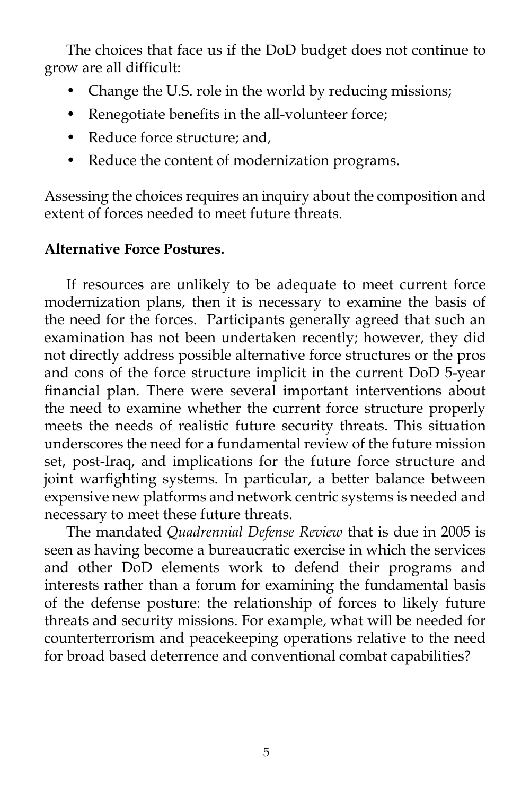The choices that face us if the DoD budget does not continue to grow are all difficult:

- Change the U.S. role in the world by reducing missions;
- Renegotiate benefits in the all-volunteer force;
- Reduce force structure; and,
- Reduce the content of modernization programs.

Assessing the choices requires an inquiry about the composition and extent of forces needed to meet future threats.

## **Alternative Force Postures.**

 If resources are unlikely to be adequate to meet current force modernization plans, then it is necessary to examine the basis of the need for the forces. Participants generally agreed that such an examination has not been undertaken recently; however, they did not directly address possible alternative force structures or the pros and cons of the force structure implicit in the current DoD 5-year financial plan. There were several important interventions about the need to examine whether the current force structure properly meets the needs of realistic future security threats. This situation underscores the need for a fundamental review of the future mission set, post-Iraq, and implications for the future force structure and joint warfighting systems. In particular, a better balance between expensive new platforms and network centric systems is needed and necessary to meet these future threats.

 The mandated *Quadrennial Defense Review* that is due in 2005 is seen as having become a bureaucratic exercise in which the services and other DoD elements work to defend their programs and interests rather than a forum for examining the fundamental basis of the defense posture: the relationship of forces to likely future threats and security missions. For example, what will be needed for counterterrorism and peacekeeping operations relative to the need for broad based deterrence and conventional combat capabilities?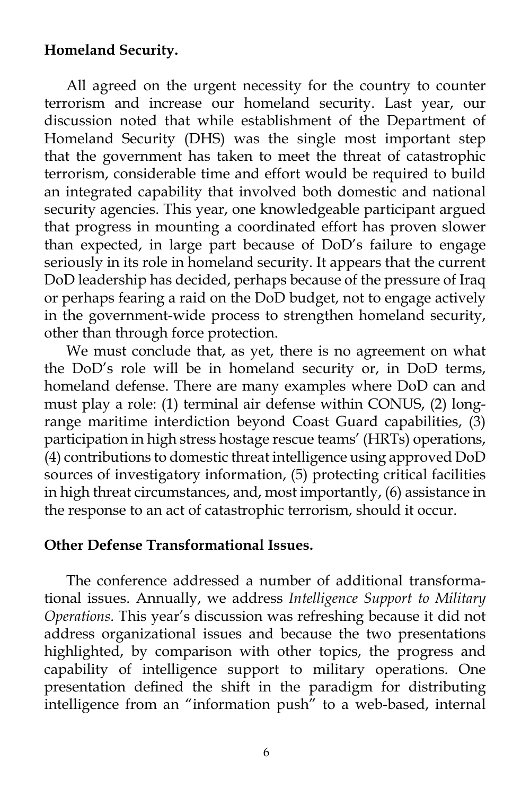#### **Homeland Security.**

 All agreed on the urgent necessity for the country to counter terrorism and increase our homeland security. Last year, our discussion noted that while establishment of the Department of Homeland Security (DHS) was the single most important step that the government has taken to meet the threat of catastrophic terrorism, considerable time and effort would be required to build an integrated capability that involved both domestic and national security agencies. This year, one knowledgeable participant argued that progress in mounting a coordinated effort has proven slower than expected, in large part because of DoD's failure to engage seriously in its role in homeland security. It appears that the current DoD leadership has decided, perhaps because of the pressure of Iraq or perhaps fearing a raid on the DoD budget, not to engage actively in the government-wide process to strengthen homeland security, other than through force protection.

 We must conclude that, as yet, there is no agreement on what the DoD's role will be in homeland security or, in DoD terms, homeland defense. There are many examples where DoD can and must play a role: (1) terminal air defense within CONUS, (2) longrange maritime interdiction beyond Coast Guard capabilities, (3) participation in high stress hostage rescue teams' (HRTs) operations, (4) contributions to domestic threat intelligence using approved DoD sources of investigatory information, (5) protecting critical facilities in high threat circumstances, and, most importantly, (6) assistance in the response to an act of catastrophic terrorism, should it occur.

#### **Other Defense Transformational Issues.**

 The conference addressed a number of additional transformational issues. Annually, we address *Intelligence Support to Military Operations*. This year's discussion was refreshing because it did not address organizational issues and because the two presentations highlighted, by comparison with other topics, the progress and capability of intelligence support to military operations. One presentation defined the shift in the paradigm for distributing intelligence from an "information push" to a web-based, internal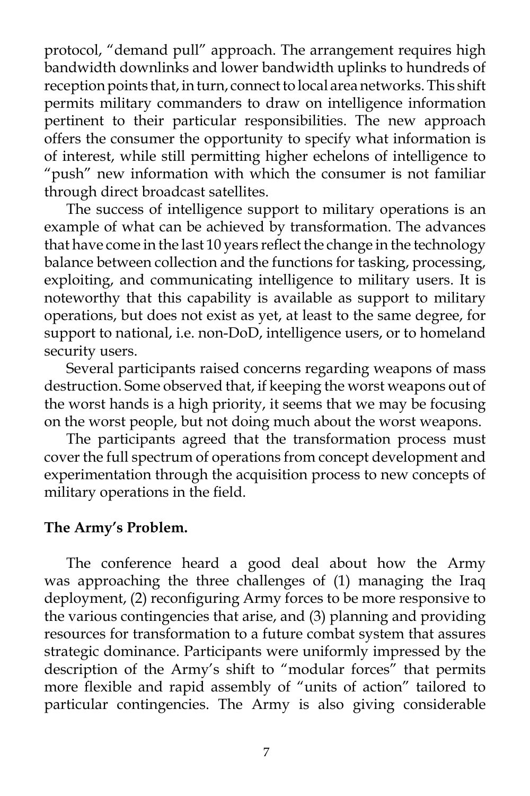protocol, "demand pull" approach. The arrangement requires high bandwidth downlinks and lower bandwidth uplinks to hundreds of reception points that, in turn, connect to local area networks. This shift permits military commanders to draw on intelligence information pertinent to their particular responsibilities. The new approach offers the consumer the opportunity to specify what information is of interest, while still permitting higher echelons of intelligence to "push" new information with which the consumer is not familiar through direct broadcast satellites.

 The success of intelligence support to military operations is an example of what can be achieved by transformation. The advances that have come in the last 10 years reflect the change in the technology balance between collection and the functions for tasking, processing, exploiting, and communicating intelligence to military users. It is noteworthy that this capability is available as support to military operations, but does not exist as yet, at least to the same degree, for support to national, i.e. non-DoD, intelligence users, or to homeland security users.

 Several participants raised concerns regarding weapons of mass destruction. Some observed that, if keeping the worst weapons out of the worst hands is a high priority, it seems that we may be focusing on the worst people, but not doing much about the worst weapons.

 The participants agreed that the transformation process must cover the full spectrum of operations from concept development and experimentation through the acquisition process to new concepts of military operations in the field.

#### **The Army's Problem.**

 The conference heard a good deal about how the Army was approaching the three challenges of (1) managing the Iraq deployment, (2) reconfiguring Army forces to be more responsive to the various contingencies that arise, and (3) planning and providing resources for transformation to a future combat system that assures strategic dominance. Participants were uniformly impressed by the description of the Army's shift to "modular forces" that permits more flexible and rapid assembly of "units of action" tailored to particular contingencies. The Army is also giving considerable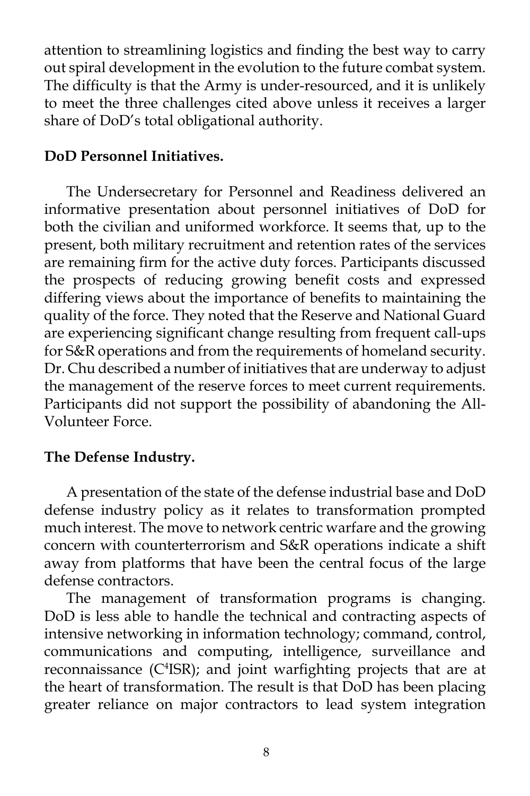attention to streamlining logistics and finding the best way to carry out spiral development in the evolution to the future combat system. The difficulty is that the Army is under-resourced, and it is unlikely to meet the three challenges cited above unless it receives a larger share of DoD's total obligational authority.

## **DoD Personnel Initiatives.**

 The Undersecretary for Personnel and Readiness delivered an informative presentation about personnel initiatives of DoD for both the civilian and uniformed workforce. It seems that, up to the present, both military recruitment and retention rates of the services are remaining firm for the active duty forces. Participants discussed the prospects of reducing growing benefit costs and expressed differing views about the importance of benefits to maintaining the quality of the force. They noted that the Reserve and National Guard are experiencing significant change resulting from frequent call-ups for S&R operations and from the requirements of homeland security. Dr. Chu described a number of initiatives that are underway to adjust the management of the reserve forces to meet current requirements. Participants did not support the possibility of abandoning the All-Volunteer Force.

## **The Defense Industry.**

 A presentation of the state of the defense industrial base and DoD defense industry policy as it relates to transformation prompted much interest. The move to network centric warfare and the growing concern with counterterrorism and S&R operations indicate a shift away from platforms that have been the central focus of the large defense contractors.

 The management of transformation programs is changing. DoD is less able to handle the technical and contracting aspects of intensive networking in information technology; command, control, communications and computing, intelligence, surveillance and reconnaissance (C4 ISR); and joint warfighting projects that are at the heart of transformation. The result is that DoD has been placing greater reliance on major contractors to lead system integration